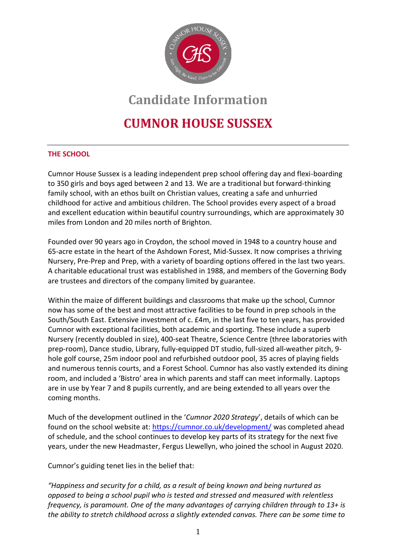

# **Candidate Information**

# **CUMNOR HOUSE SUSSEX**

# **THE SCHOOL**

Cumnor House Sussex is a leading independent prep school offering day and flexi-boarding to 350 girls and boys aged between 2 and 13*.* We are a traditional but forward-thinking family school, with an ethos built on Christian values, creating a safe and unhurried childhood for active and ambitious children. The School provides every aspect of a broad and excellent education within beautiful country surroundings, which are approximately 30 miles from London and 20 miles north of Brighton.

Founded over 90 years ago in Croydon, the school moved in 1948 to a country house and 65-acre estate in the heart of the Ashdown Forest, Mid-Sussex. It now comprises a thriving Nursery, Pre-Prep and Prep, with a variety of boarding options offered in the last two years. A charitable educational trust was established in 1988, and members of the Governing Body are trustees and directors of the company limited by guarantee.

Within the maize of different buildings and classrooms that make up the school, Cumnor now has some of the best and most attractive facilities to be found in prep schools in the South/South East. Extensive investment of c. £4m, in the last five to ten years, has provided Cumnor with exceptional facilities, both academic and sporting. These include a superb Nursery (recently doubled in size), 400-seat Theatre, Science Centre (three laboratories with prep-room), Dance studio, Library, fully-equipped DT studio, full-sized all-weather pitch, 9 hole golf course, 25m indoor pool and refurbished outdoor pool, 35 acres of playing fields and numerous tennis courts, and a Forest School. Cumnor has also vastly extended its dining room, and included a 'Bistro' area in which parents and staff can meet informally. Laptops are in use by Year 7 and 8 pupils currently, and are being extended to all years over the coming months.

Much of the development outlined in the '*Cumnor 2020 Strategy*', details of which can be found on the school website at:<https://cumnor.co.uk/development/> was completed ahead of schedule, and the school continues to develop key parts of its strategy for the next five years, under the new Headmaster, Fergus Llewellyn, who joined the school in August 2020.

Cumnor's guiding tenet lies in the belief that:

*"Happiness and security for a child, as a result of being known and being nurtured as opposed to being a school pupil who is tested and stressed and measured with relentless frequency, is paramount. One of the many advantages of carrying children through to 13+ is the ability to stretch childhood across a slightly extended canvas. There can be some time to*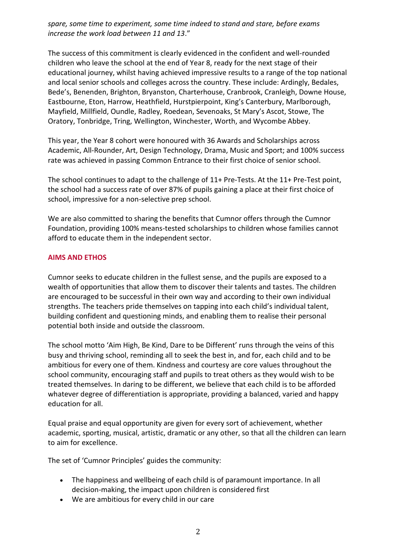*spare, some time to experiment, some time indeed to stand and stare, before exams increase the work load between 11 and 13*."

The success of this commitment is clearly evidenced in the confident and well-rounded children who leave the school at the end of Year 8, ready for the next stage of their educational journey, whilst having achieved impressive results to a range of the top national and local senior schools and colleges across the country. These include: Ardingly, Bedales, Bede's, Benenden, Brighton, Bryanston, Charterhouse, Cranbrook, Cranleigh, Downe House, Eastbourne, Eton, Harrow, Heathfield, Hurstpierpoint, King's Canterbury, Marlborough, Mayfield, Millfield, Oundle, Radley, Roedean, Sevenoaks, St Mary's Ascot, Stowe, The Oratory, Tonbridge, Tring, Wellington, Winchester, Worth, and Wycombe Abbey.

This year, the Year 8 cohort were honoured with 36 Awards and Scholarships across Academic, All-Rounder, Art, Design Technology, Drama, Music and Sport; and 100% success rate was achieved in passing Common Entrance to their first choice of senior school.

The school continues to adapt to the challenge of 11+ Pre-Tests. At the 11+ Pre-Test point, the school had a success rate of over 87% of pupils gaining a place at their first choice of school, impressive for a non-selective prep school.

We are also committed to sharing the benefits that Cumnor offers through the Cumnor Foundation, providing 100% means-tested scholarships to children whose families cannot afford to educate them in the independent sector.

## **AIMS AND ETHOS**

Cumnor seeks to educate children in the fullest sense, and the pupils are exposed to a wealth of opportunities that allow them to discover their talents and tastes. The children are encouraged to be successful in their own way and according to their own individual strengths. The teachers pride themselves on tapping into each child's individual talent, building confident and questioning minds, and enabling them to realise their personal potential both inside and outside the classroom.

The school motto 'Aim High, Be Kind, Dare to be Different' runs through the veins of this busy and thriving school, reminding all to seek the best in, and for, each child and to be ambitious for every one of them. Kindness and courtesy are core values throughout the school community, encouraging staff and pupils to treat others as they would wish to be treated themselves. In daring to be different, we believe that each child is to be afforded whatever degree of differentiation is appropriate, providing a balanced, varied and happy education for all.

Equal praise and equal opportunity are given for every sort of achievement, whether academic, sporting, musical, artistic, dramatic or any other, so that all the children can learn to aim for excellence.

The set of 'Cumnor Principles' guides the community:

- The happiness and wellbeing of each child is of paramount importance. In all decision-making, the impact upon children is considered first
- We are ambitious for every child in our care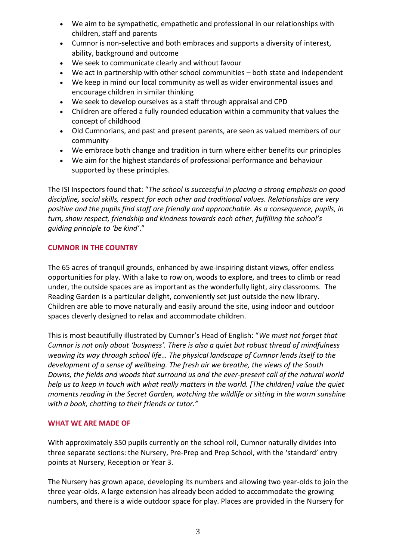- We aim to be sympathetic, empathetic and professional in our relationships with children, staff and parents
- Cumnor is non-selective and both embraces and supports a diversity of interest, ability, background and outcome
- We seek to communicate clearly and without favour
- We act in partnership with other school communities both state and independent
- We keep in mind our local community as well as wider environmental issues and encourage children in similar thinking
- We seek to develop ourselves as a staff through appraisal and CPD
- Children are offered a fully rounded education within a community that values the concept of childhood
- Old Cumnorians, and past and present parents, are seen as valued members of our community
- We embrace both change and tradition in turn where either benefits our principles
- We aim for the highest standards of professional performance and behaviour supported by these principles.

The ISI Inspectors found that: "*The school is successful in placing a strong emphasis on good discipline, social skills, respect for each other and traditional values. Relationships are very positive and the pupils find staff are friendly and approachable. As a consequence, pupils, in turn, show respect, friendship and kindness towards each other, fulfilling the school's guiding principle to 'be kind'*."

## **CUMNOR IN THE COUNTRY**

The 65 acres of tranquil grounds, enhanced by awe-inspiring distant views, offer endless opportunities for play. With a lake to row on, woods to explore, and trees to climb or read under, the outside spaces are as important as the wonderfully light, airy classrooms. The Reading Garden is a particular delight, conveniently set just outside the new library. Children are able to move naturally and easily around the site, using indoor and outdoor spaces cleverly designed to relax and accommodate children.

This is most beautifully illustrated by Cumnor's Head of English: "*We must not forget that Cumnor is not only about 'busyness'. There is also a quiet but robust thread of mindfulness weaving its way through school life… The physical landscape of Cumnor lends itself to the development of a sense of wellbeing. The fresh air we breathe, the views of the South Downs, the fields and woods that surround us and the ever-present call of the natural world help us to keep in touch with what really matters in the world. [The children] value the quiet moments reading in the Secret Garden, watching the wildlife or sitting in the warm sunshine with a book, chatting to their friends or tutor."* 

## **WHAT WE ARE MADE OF**

With approximately 350 pupils currently on the school roll, Cumnor naturally divides into three separate sections: the Nursery, Pre-Prep and Prep School, with the 'standard' entry points at Nursery, Reception or Year 3.

The Nursery has grown apace, developing its numbers and allowing two year-olds to join the three year-olds. A large extension has already been added to accommodate the growing numbers, and there is a wide outdoor space for play. Places are provided in the Nursery for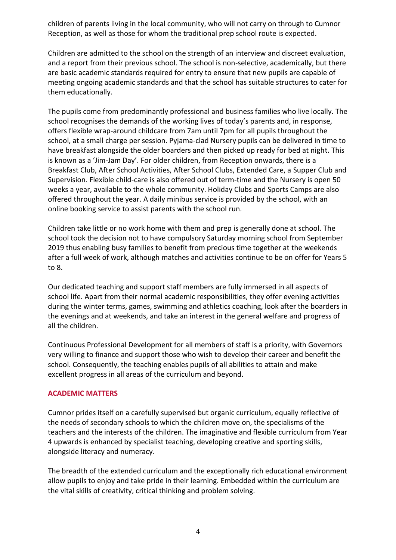children of parents living in the local community, who will not carry on through to Cumnor Reception, as well as those for whom the traditional prep school route is expected.

Children are admitted to the school on the strength of an interview and discreet evaluation, and a report from their previous school. The school is non-selective, academically, but there are basic academic standards required for entry to ensure that new pupils are capable of meeting ongoing academic standards and that the school has suitable structures to cater for them educationally.

The pupils come from predominantly professional and business families who live locally. The school recognises the demands of the working lives of today's parents and, in response, offers flexible wrap-around childcare from 7am until 7pm for all pupils throughout the school, at a small charge per session. Pyjama-clad Nursery pupils can be delivered in time to have breakfast alongside the older boarders and then picked up ready for bed at night. This is known as a 'Jim-Jam Day'. For older children, from Reception onwards, there is a Breakfast Club, After School Activities, After School Clubs, Extended Care, a Supper Club and Supervision*.* Flexible child-care is also offered out of term-time and the Nursery is open 50 weeks a year, available to the whole community. Holiday Clubs and Sports Camps are also offered throughout the year. A daily minibus service is provided by the school, with an online booking service to assist parents with the school run.

Children take little or no work home with them and prep is generally done at school. The school took the decision not to have compulsory Saturday morning school from September 2019 thus enabling busy families to benefit from precious time together at the weekends after a full week of work, although matches and activities continue to be on offer for Years 5 to 8.

Our dedicated teaching and support staff members are fully immersed in all aspects of school life. Apart from their normal academic responsibilities, they offer evening activities during the winter terms, games, swimming and athletics coaching, look after the boarders in the evenings and at weekends, and take an interest in the general welfare and progress of all the children.

Continuous Professional Development for all members of staff is a priority, with Governors very willing to finance and support those who wish to develop their career and benefit the school. Consequently, the teaching enables pupils of all abilities to attain and make excellent progress in all areas of the curriculum and beyond.

## **ACADEMIC MATTERS**

Cumnor prides itself on a carefully supervised but organic curriculum, equally reflective of the needs of secondary schools to which the children move on, the specialisms of the teachers and the interests of the children. The imaginative and flexible curriculum from Year 4 upwards is enhanced by specialist teaching, developing creative and sporting skills, alongside literacy and numeracy.

The breadth of the extended curriculum and the exceptionally rich educational environment allow pupils to enjoy and take pride in their learning. Embedded within the curriculum are the vital skills of creativity, critical thinking and problem solving.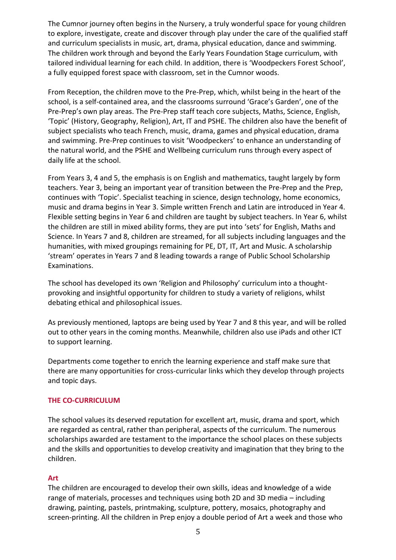The Cumnor journey often begins in the Nursery, a truly wonderful space for young children to explore, investigate, create and discover through play under the care of the qualified staff and curriculum specialists in music, art, drama, physical education, dance and swimming. The children work through and beyond the Early Years Foundation Stage curriculum, with tailored individual learning for each child. In addition, there is 'Woodpeckers Forest School', a fully equipped forest space with classroom, set in the Cumnor woods.

From Reception, the children move to the Pre-Prep, which, whilst being in the heart of the school, is a self-contained area, and the classrooms surround 'Grace's Garden', one of the Pre-Prep's own play areas. The Pre-Prep staff teach core subjects, Maths, Science, English, 'Topic' (History, Geography, Religion), Art, IT and PSHE. The children also have the benefit of subject specialists who teach French, music, drama, games and physical education, drama and swimming. Pre-Prep continues to visit 'Woodpeckers' to enhance an understanding of the natural world, and the PSHE and Wellbeing curriculum runs through every aspect of daily life at the school.

From Years 3, 4 and 5, the emphasis is on English and mathematics, taught largely by form teachers. Year 3, being an important year of transition between the Pre-Prep and the Prep, continues with 'Topic'. Specialist teaching in science, design technology, home economics, music and drama begins in Year 3. Simple written French and Latin are introduced in Year 4. Flexible setting begins in Year 6 and children are taught by subject teachers. In Year 6, whilst the children are still in mixed ability forms, they are put into 'sets' for English, Maths and Science. In Years 7 and 8, children are streamed, for all subjects including languages and the humanities, with mixed groupings remaining for PE, DT, IT, Art and Music. A scholarship 'stream' operates in Years 7 and 8 leading towards a range of Public School Scholarship Examinations.

The school has developed its own 'Religion and Philosophy' curriculum into a thoughtprovoking and insightful opportunity for children to study a variety of religions, whilst debating ethical and philosophical issues.

As previously mentioned, laptops are being used by Year 7 and 8 this year, and will be rolled out to other years in the coming months. Meanwhile, children also use iPads and other ICT to support learning.

Departments come together to enrich the learning experience and staff make sure that there are many opportunities for cross-curricular links which they develop through projects and topic days.

## **THE CO-CURRICULUM**

The school values its deserved reputation for excellent art, music, drama and sport, which are regarded as central, rather than peripheral, aspects of the curriculum. The numerous scholarships awarded are testament to the importance the school places on these subjects and the skills and opportunities to develop creativity and imagination that they bring to the children.

## **Art**

The children are encouraged to develop their own skills, ideas and knowledge of a wide range of materials, processes and techniques using both 2D and 3D media – including drawing, painting, pastels, printmaking, sculpture, pottery, mosaics, photography and screen-printing. All the children in Prep enjoy a double period of Art a week and those who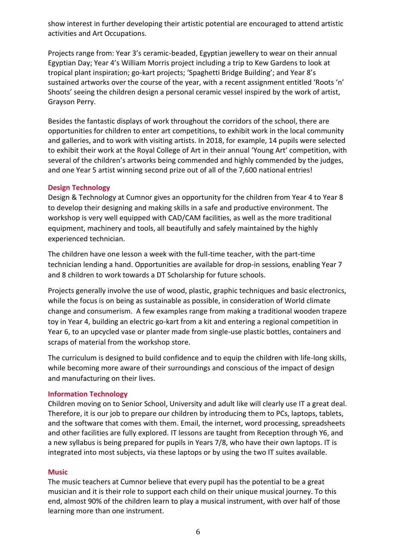show interest in further developing their artistic potential are encouraged to attend artistic activities and Art Occupations.

Projects range from: Year 3's ceramic-beaded, Egyptian jewellery to wear on their annual Egyptian Day; Year 4's William Morris project including a trip to Kew Gardens to look at tropical plant inspiration; go-kart projects; 'Spaghetti Bridge Building'; and Year 8's sustained artworks over the course of the year, with a recent assignment entitled 'Roots 'n' Shoots' seeing the children design a personal ceramic vessel inspired by the work of artist, Grayson Perry.

Besides the fantastic displays of work throughout the corridors of the school, there are opportunities for children to enter art competitions, to exhibit work in the local community and galleries, and to work with visiting artists. In 2018, for example, 14 pupils were selected to exhibit their work at the Royal College of Art in their annual 'Young Art' competition, with several of the children's artworks being commended and highly commended by the judges, and one Year 5 artist winning second prize out of all of the 7,600 national entries!

## **Design Technology**

Design & Technology at Cumnor gives an opportunity for the children from Year 4 to Year 8 to develop their designing and making skills in a safe and productive environment. The workshop is very well equipped with CAD/CAM facilities, as well as the more traditional equipment, machinery and tools, all beautifully and safely maintained by the highly experienced technician.

The children have one lesson a week with the full-time teacher, with the part-time technician lending a hand. Opportunities are available for drop-in sessions, enabling Year 7 and 8 children to work towards a DT Scholarship for future schools.

Projects generally involve the use of wood, plastic, graphic techniques and basic electronics, while the focus is on being as sustainable as possible, in consideration of World climate change and consumerism. A few examples range from making a traditional wooden trapeze toy in Year 4, building an electric go-kart from a kit and entering a regional competition in Year 6, to an upcycled vase or planter made from single-use plastic bottles, containers and scraps of material from the workshop store.

The curriculum is designed to build confidence and to equip the children with life-long skills, while becoming more aware of their surroundings and conscious of the impact of design and manufacturing on their lives.

## **Information Technology**

Children moving on to Senior School, University and adult like will clearly use IT a great deal. Therefore, it is our job to prepare our children by introducing them to PCs, laptops, tablets, and the software that comes with them. Email, the internet, word processing, spreadsheets and other facilities are fully explored. IT lessons are taught from Reception through Y6, and a new syllabus is being prepared for pupils in Years 7/8, who have their own laptops. IT is integrated into most subjects, via these laptops or by using the two IT suites available.

## **Music**

The music teachers at Cumnor believe that every pupil has the potential to be a great musician and it is their role to support each child on their unique musical journey. To this end, almost 90% of the children learn to play a musical instrument, with over half of those learning more than one instrument.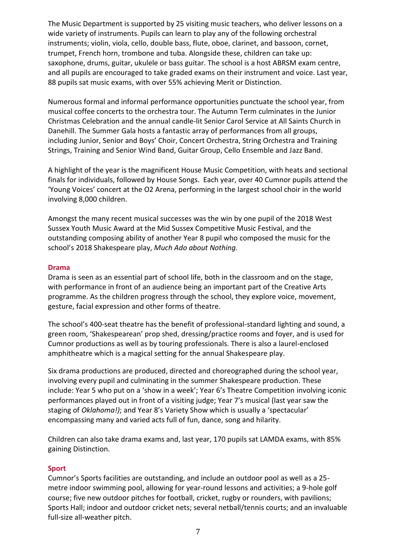The Music Department is supported by 25 visiting music teachers, who deliver lessons on a wide variety of instruments. Pupils can learn to play any of the following orchestral instruments; violin, viola, cello, double bass, flute, oboe, clarinet, and bassoon, cornet, trumpet, French horn, trombone and tuba. Alongside these, children can take up: saxophone, drums, guitar, ukulele or bass guitar. The school is a host ABRSM exam centre, and all pupils are encouraged to take graded exams on their instrument and voice. Last year, 88 pupils sat music exams, with over 55% achieving Merit or Distinction.

Numerous formal and informal performance opportunities punctuate the school year, from musical coffee concerts to the orchestra tour. The Autumn Term culminates in the Junior Christmas Celebration and the annual candle-lit Senior Carol Service at All Saints Church in Danehill. The Summer Gala hosts a fantastic array of performances from all groups, including Junior, Senior and Boys' Choir, Concert Orchestra, String Orchestra and Training Strings, Training and Senior Wind Band, Guitar Group, Cello Ensemble and Jazz Band.

A highlight of the year is the magnificent House Music Competition, with heats and sectional finals for individuals, followed by House Songs. Each year, over 40 Cumnor pupils attend the 'Young Voices' concert at the O2 Arena, performing in the largest school choir in the world involving 8,000 children.

Amongst the many recent musical successes was the win by one pupil of the 2018 West Sussex Youth Music Award at the Mid Sussex Competitive Music Festival, and the outstanding composing ability of another Year 8 pupil who composed the music for the school's 2018 Shakespeare play, *Much Ado about Nothing.*

## **Drama**

Drama is seen as an essential part of school life, both in the classroom and on the stage, with performance in front of an audience being an important part of the Creative Arts programme. As the children progress through the school, they explore voice, movement, gesture, facial expression and other forms of theatre.

The school's 400-seat theatre has the benefit of professional-standard lighting and sound, a green room, 'Shakespearean' prop shed, dressing/practice rooms and foyer, and is used for Cumnor productions as well as by touring professionals. There is also a laurel-enclosed amphitheatre which is a magical setting for the annual Shakespeare play.

Six drama productions are produced, directed and choreographed during the school year, involving every pupil and culminating in the summer Shakespeare production. These include: Year 5 who put on a 'show in a week'; Year 6's Theatre Competition involving iconic performances played out in front of a visiting judge; Year 7's musical (last year saw the staging of *Oklahoma!)*; and Year 8's Variety Show which is usually a 'spectacular' encompassing many and varied acts full of fun, dance, song and hilarity.

Children can also take drama exams and, last year, 170 pupils sat LAMDA exams, with 85% gaining Distinction.

## **Sport**

Cumnor's Sports facilities are outstanding, and include an outdoor pool as well as a 25 metre indoor swimming pool, allowing for year-round lessons and activities; a 9-hole golf course; five new outdoor pitches for football, cricket, rugby or rounders, with pavilions; Sports Hall; indoor and outdoor cricket nets; several netball/tennis courts; and an invaluable full-size all-weather pitch.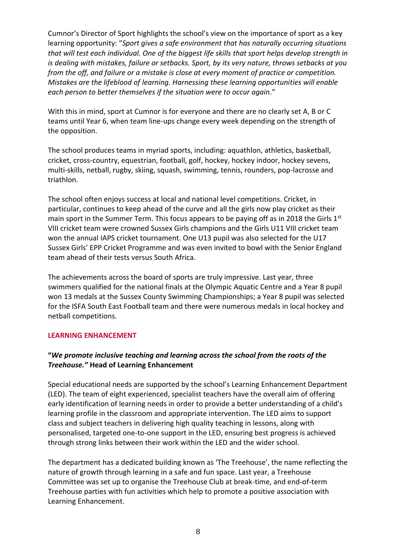Cumnor's Director of Sport highlights the school's view on the importance of sport as a key learning opportunity: "*Sport gives a safe environment that has naturally occurring situations that will test each individual. One of the biggest life skills that sport helps develop strength in is dealing with mistakes, failure or setbacks. Sport, by its very nature, throws setbacks at you from the off, and failure or a mistake is close at every moment of practice or competition. Mistakes are the lifeblood of learning. Harnessing these learning opportunities will enable each person to better themselves if the situation were to occur again*."

With this in mind, sport at Cumnor is for everyone and there are no clearly set A, B or C teams until Year 6, when team line-ups change every week depending on the strength of the opposition.

The school produces teams in myriad sports, including: aquathlon, athletics, basketball, cricket, cross-country, equestrian, football, golf, hockey, hockey indoor, hockey sevens, multi-skills, netball, rugby, skiing, squash, swimming, tennis, rounders, pop-lacrosse and triathlon.

The school often enjoys success at local and national level competitions. Cricket, in particular, continues to keep ahead of the curve and all the girls now play cricket as their main sport in the Summer Term. This focus appears to be paying off as in 2018 the Girls 1<sup>st</sup> VIII cricket team were crowned Sussex Girls champions and the Girls U11 VIII cricket team won the annual IAPS cricket tournament. One U13 pupil was also selected for the U17 Sussex Girls' EPP Cricket Programme and was even invited to bowl with the Senior England team ahead of their tests versus South Africa.

The achievements across the board of sports are truly impressive. Last year, three swimmers qualified for the national finals at the Olympic Aquatic Centre and a Year 8 pupil won 13 medals at the Sussex County Swimming Championships; a Year 8 pupil was selected for the ISFA South East Football team and there were numerous medals in local hockey and netball competitions.

## **LEARNING ENHANCEMENT**

# **"***We promote inclusive teaching and learning across the school from the roots of the Treehouse."* **Head of Learning Enhancement**

Special educational needs are supported by the school's Learning Enhancement Department (LED). The team of eight experienced, specialist teachers have the overall aim of offering early identification of learning needs in order to provide a better understanding of a child's learning profile in the classroom and appropriate intervention. The LED aims to support class and subject teachers in delivering high quality teaching in lessons, along with personalised, targeted one-to-one support in the LED, ensuring best progress is achieved through strong links between their work within the LED and the wider school.

The department has a dedicated building known as 'The Treehouse', the name reflecting the nature of growth through learning in a safe and fun space. Last year, a Treehouse Committee was set up to organise the Treehouse Club at break-time, and end-of-term Treehouse parties with fun activities which help to promote a positive association with Learning Enhancement.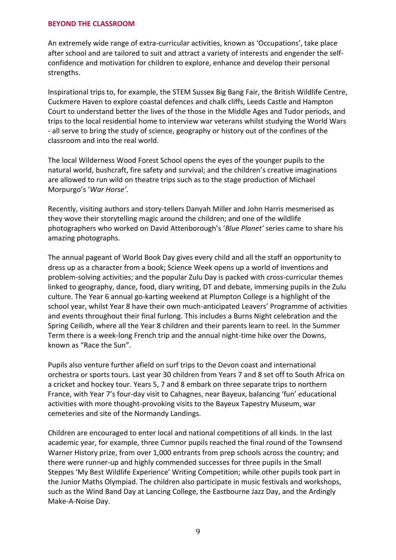#### **BEYOND THE CLASSROOM**

An extremely wide range of extra-curricular activities, known as 'Occupations', take place after school and are tailored to suit and attract a variety of interests and engender the selfconfidence and motivation for children to explore, enhance and develop their personal strengths.

Inspirational trips to, for example, the STEM Sussex Big Bang Fair, the British Wildlife Centre, Cuckmere Haven to explore coastal defences and chalk cliffs, Leeds Castle and Hampton Court to understand better the lives of the those in the Middle Ages and Tudor periods, and trips to the local residential home to interview war veterans whilst studying the World Wars - all serve to bring the study of science, geography or history out of the confines of the classroom and into the real world.

The local Wilderness Wood Forest School opens the eyes of the younger pupils to the natural world, bushcraft, fire safety and survival; and the children's creative imaginations are allowed to run wild on theatre trips such as to the stage production of Michael Morpurgo's '*War Horse'*.

Recently, visiting authors and story-tellers Danyah Miller and John Harris mesmerised as they wove their storytelling magic around the children; and one of the wildlife photographers who worked on David Attenborough's '*Blue Planet'* series came to share his amazing photographs.

The annual pageant of World Book Day gives every child and all the staff an opportunity to dress up as a character from a book; Science Week opens up a world of inventions and problem-solving activities; and the popular Zulu Day is packed with cross-curricular themes linked to geography, dance, food, diary writing, DT and debate, immersing pupils in the Zulu culture. The Year 6 annual go-karting weekend at Plumpton College is a highlight of the school year, whilst Year 8 have their own much-anticipated Leavers' Programme of activities and events throughout their final furlong. This includes a Burns Night celebration and the Spring Ceilidh, where all the Year 8 children and their parents learn to reel. In the Summer Term there is a week-long French trip and the annual night-time hike over the Downs, known as "Race the Sun".

Pupils also venture further afield on surf trips to the Devon coast and international orchestra or sports tours. Last year 30 children from Years 7 and 8 set off to South Africa on a cricket and hockey tour. Years 5, 7 and 8 embark on three separate trips to northern France, with Year 7's four-day visit to Cahagnes, near Bayeux, balancing 'fun' educational activities with more thought-provoking visits to the Bayeux Tapestry Museum, war cemeteries and site of the Normandy Landings.

Children are encouraged to enter local and national competitions of all kinds. In the last academic year, for example, three Cumnor pupils reached the final round of the Townsend Warner History prize, from over 1,000 entrants from prep schools across the country; and there were runner-up and highly commended successes for three pupils in the Small Steppes 'My Best Wildlife Experience' Writing Competition; while other pupils took part in the Junior Maths Olympiad. The children also participate in music festivals and workshops, such as the Wind Band Day at Lancing College, the Eastbourne Jazz Day, and the Ardingly Make-A-Noise Day.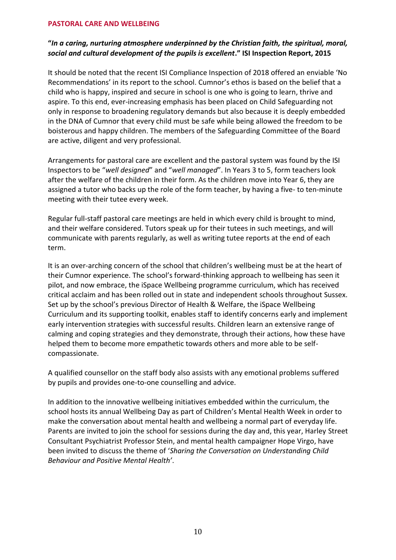#### **PASTORAL CARE AND WELLBEING**

## **"***In a caring, nurturing atmosphere underpinned by the Christian faith, the spiritual, moral, social and cultural development of the pupils is excellent***." ISI Inspection Report, 2015**

It should be noted that the recent ISI Compliance Inspection of 2018 offered an enviable 'No Recommendations' in its report to the school. Cumnor's ethos is based on the belief that a child who is happy, inspired and secure in school is one who is going to learn, thrive and aspire. To this end, ever-increasing emphasis has been placed on Child Safeguarding not only in response to broadening regulatory demands but also because it is deeply embedded in the DNA of Cumnor that every child must be safe while being allowed the freedom to be boisterous and happy children. The members of the Safeguarding Committee of the Board are active, diligent and very professional.

Arrangements for pastoral care are excellent and the pastoral system was found by the ISI Inspectors to be "*well designed*" and "*well managed*". In Years 3 to 5, form teachers look after the welfare of the children in their form. As the children move into Year 6, they are assigned a tutor who backs up the role of the form teacher, by having a five- to ten-minute meeting with their tutee every week.

Regular full-staff pastoral care meetings are held in which every child is brought to mind, and their welfare considered. Tutors speak up for their tutees in such meetings, and will communicate with parents regularly, as well as writing tutee reports at the end of each term.

It is an over-arching concern of the school that children's wellbeing must be at the heart of their Cumnor experience. The school's forward-thinking approach to wellbeing has seen it pilot, and now embrace, the iSpace Wellbeing programme curriculum, which has received critical acclaim and has been rolled out in state and independent schools throughout Sussex. Set up by the school's previous Director of Health & Welfare, the iSpace Wellbeing Curriculum and its supporting toolkit, enables staff to identify concerns early and implement early intervention strategies with successful results. Children learn an extensive range of calming and coping strategies and they demonstrate, through their actions, how these have helped them to become more empathetic towards others and more able to be selfcompassionate.

A qualified counsellor on the staff body also assists with any emotional problems suffered by pupils and provides one-to-one counselling and advice.

In addition to the innovative wellbeing initiatives embedded within the curriculum, the school hosts its annual Wellbeing Day as part of Children's Mental Health Week in order to make the conversation about mental health and wellbeing a normal part of everyday life. Parents are invited to join the school for sessions during the day and, this year, Harley Street Consultant Psychiatrist Professor Stein, and mental health campaigner Hope Virgo, have been invited to discuss the theme of '*Sharing the Conversation on Understanding Child Behaviour and Positive Mental Health'*.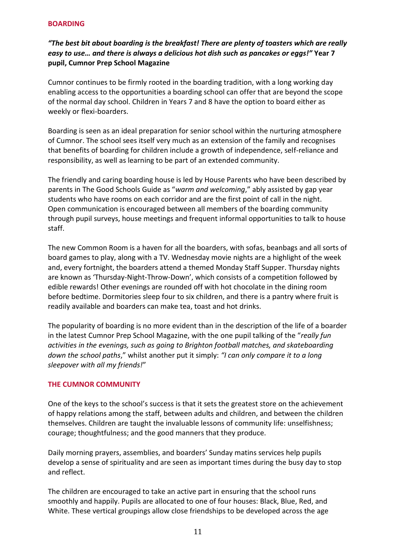#### **BOARDING**

# *"The best bit about boarding is the breakfast! There are plenty of toasters which are really easy to use… and there is always a delicious hot dish such as pancakes or eggs!"* **Year 7 pupil, Cumnor Prep School Magazine**

Cumnor continues to be firmly rooted in the boarding tradition, with a long working day enabling access to the opportunities a boarding school can offer that are beyond the scope of the normal day school. Children in Years 7 and 8 have the option to board either as weekly or flexi-boarders.

Boarding is seen as an ideal preparation for senior school within the nurturing atmosphere of Cumnor. The school sees itself very much as an extension of the family and recognises that benefits of boarding for children include a growth of independence, self-reliance and responsibility, as well as learning to be part of an extended community.

The friendly and caring boarding house is led by House Parents who have been described by parents in The Good Schools Guide as "*warm and welcoming*," ably assisted by gap year students who have rooms on each corridor and are the first point of call in the night. Open communication is encouraged between all members of the boarding community through pupil surveys, house meetings and frequent informal opportunities to talk to house staff.

The new Common Room is a haven for all the boarders, with sofas, beanbags and all sorts of board games to play, along with a TV. Wednesday movie nights are a highlight of the week and, every fortnight, the boarders attend a themed Monday Staff Supper. Thursday nights are known as 'Thursday-Night-Throw-Down', which consists of a competition followed by edible rewards! Other evenings are rounded off with hot chocolate in the dining room before bedtime. Dormitories sleep four to six children, and there is a pantry where fruit is readily available and boarders can make tea, toast and hot drinks.

The popularity of boarding is no more evident than in the description of the life of a boarder in the latest Cumnor Prep School Magazine, with the one pupil talking of the "*really fun activities in the evenings, such as going to Brighton football matches, and skateboarding down the school paths*," whilst another put it simply: *"I can only compare it to a long sleepover with all my friends!*"

## **THE CUMNOR COMMUNITY**

One of the keys to the school's success is that it sets the greatest store on the achievement of happy relations among the staff, between adults and children, and between the children themselves. Children are taught the invaluable lessons of community life: unselfishness; courage; thoughtfulness; and the good manners that they produce.

Daily morning prayers, assemblies, and boarders' Sunday matins services help pupils develop a sense of spirituality and are seen as important times during the busy day to stop and reflect.

The children are encouraged to take an active part in ensuring that the school runs smoothly and happily. Pupils are allocated to one of four houses: Black, Blue, Red, and White. These vertical groupings allow close friendships to be developed across the age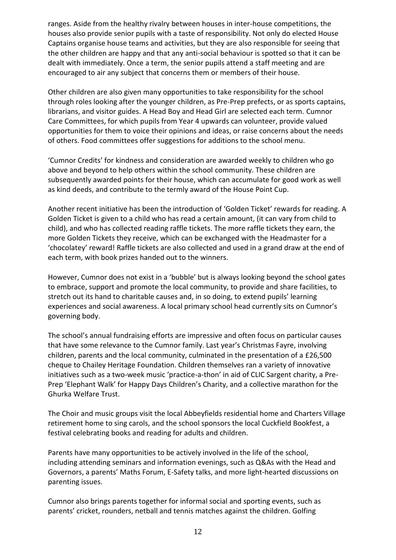ranges. Aside from the healthy rivalry between houses in inter-house competitions, the houses also provide senior pupils with a taste of responsibility. Not only do elected House Captains organise house teams and activities, but they are also responsible for seeing that the other children are happy and that any anti-social behaviour is spotted so that it can be dealt with immediately. Once a term, the senior pupils attend a staff meeting and are encouraged to air any subject that concerns them or members of their house.

Other children are also given many opportunities to take responsibility for the school through roles looking after the younger children, as Pre-Prep prefects, or as sports captains, librarians, and visitor guides. A Head Boy and Head Girl are selected each term. Cumnor Care Committees, for which pupils from Year 4 upwards can volunteer, provide valued opportunities for them to voice their opinions and ideas, or raise concerns about the needs of others. Food committees offer suggestions for additions to the school menu.

'Cumnor Credits' for kindness and consideration are awarded weekly to children who go above and beyond to help others within the school community. These children are subsequently awarded points for their house, which can accumulate for good work as well as kind deeds, and contribute to the termly award of the House Point Cup.

Another recent initiative has been the introduction of 'Golden Ticket' rewards for reading. A Golden Ticket is given to a child who has read a certain amount, (it can vary from child to child), and who has collected reading raffle tickets. The more raffle tickets they earn, the more Golden Tickets they receive, which can be exchanged with the Headmaster for a 'chocolatey' reward! Raffle tickets are also collected and used in a grand draw at the end of each term, with book prizes handed out to the winners.

However, Cumnor does not exist in a 'bubble' but is always looking beyond the school gates to embrace, support and promote the local community, to provide and share facilities, to stretch out its hand to charitable causes and, in so doing, to extend pupils' learning experiences and social awareness. A local primary school head currently sits on Cumnor's governing body.

The school's annual fundraising efforts are impressive and often focus on particular causes that have some relevance to the Cumnor family. Last year's Christmas Fayre, involving children, parents and the local community, culminated in the presentation of a £26,500 cheque to Chailey Heritage Foundation. Children themselves ran a variety of innovative initiatives such as a two-week music 'practice-a-thon' in aid of CLIC Sargent charity, a Pre-Prep 'Elephant Walk' for Happy Days Children's Charity, and a collective marathon for the Ghurka Welfare Trust.

The Choir and music groups visit the local Abbeyfields residential home and Charters Village retirement home to sing carols, and the school sponsors the local Cuckfield Bookfest, a festival celebrating books and reading for adults and children.

Parents have many opportunities to be actively involved in the life of the school, including attending seminars and information evenings, such as Q&As with the Head and Governors, a parents' Maths Forum, E-Safety talks, and more light-hearted discussions on parenting issues.

Cumnor also brings parents together for informal social and sporting events, such as parents' cricket, rounders, netball and tennis matches against the children. Golfing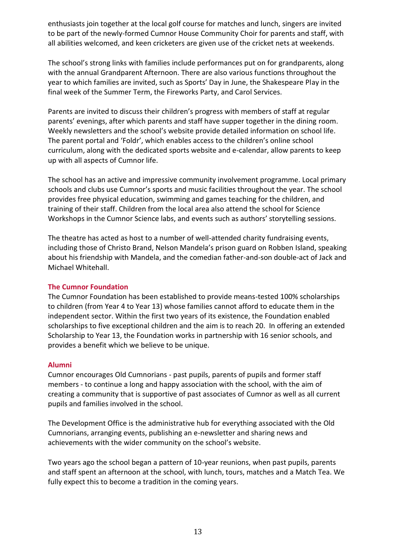enthusiasts join together at the local golf course for matches and lunch, singers are invited to be part of the newly-formed Cumnor House Community Choir for parents and staff, with all abilities welcomed, and keen cricketers are given use of the cricket nets at weekends.

The school's strong links with families include performances put on for grandparents, along with the annual Grandparent Afternoon. There are also various functions throughout the year to which families are invited, such as Sports' Day in June, the Shakespeare Play in the final week of the Summer Term, the Fireworks Party, and Carol Services.

Parents are invited to discuss their children's progress with members of staff at regular parents' evenings, after which parents and staff have supper together in the dining room. Weekly newsletters and the school's website provide detailed information on school life. The parent portal and 'Foldr', which enables access to the children's online school curriculum, along with the dedicated sports website and e-calendar, allow parents to keep up with all aspects of Cumnor life.

The school has an active and impressive community involvement programme. Local primary schools and clubs use Cumnor's sports and music facilities throughout the year. The school provides free physical education, swimming and games teaching for the children, and training of their staff. Children from the local area also attend the school for Science Workshops in the Cumnor Science labs, and events such as authors' storytelling sessions.

The theatre has acted as host to a number of well-attended charity fundraising events, including those of Christo Brand, Nelson Mandela's prison guard on Robben Island, speaking about his friendship with Mandela, and the comedian father-and-son double-act of Jack and Michael Whitehall.

## **The Cumnor Foundation**

The Cumnor Foundation has been established to provide means-tested 100% scholarships to children (from Year 4 to Year 13) whose families cannot afford to educate them in the independent sector. Within the first two years of its existence, the Foundation enabled scholarships to five exceptional children and the aim is to reach 20. In offering an extended Scholarship to Year 13, the Foundation works in partnership with 16 senior schools, and provides a benefit which we believe to be unique.

## **Alumni**

Cumnor encourages Old Cumnorians - past pupils, parents of pupils and former staff members - to continue a long and happy association with the school, with the aim of creating a community that is supportive of past associates of Cumnor as well as all current pupils and families involved in the school.

The Development Office is the administrative hub for everything associated with the Old Cumnorians, arranging events, publishing an e-newsletter and sharing news and achievements with the wider community on the school's website.

Two years ago the school began a pattern of 10-year reunions, when past pupils, parents and staff spent an afternoon at the school, with lunch, tours, matches and a Match Tea. We fully expect this to become a tradition in the coming years.